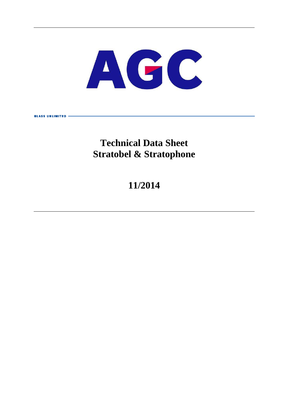

# **Technical Data Sheet Stratobel & Stratophone**

**GLASS UNITRITED** 

# **11/2014**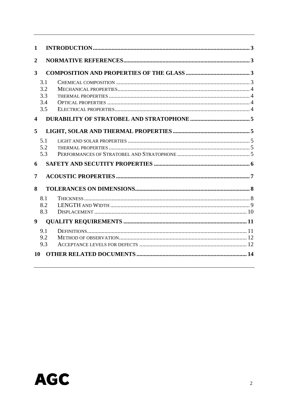| 1                       |                                 |  |
|-------------------------|---------------------------------|--|
| $\overline{2}$          |                                 |  |
| 3                       |                                 |  |
|                         | 3.1<br>3.2<br>3.3<br>3.4<br>3.5 |  |
| $\overline{\mathbf{4}}$ |                                 |  |
| 5                       |                                 |  |
|                         | 5.1<br>5.2<br>5.3               |  |
| 6                       |                                 |  |
| 7                       |                                 |  |
| 8                       |                                 |  |
|                         | 8.1<br>8.2<br>8.3               |  |
| $\boldsymbol{9}$        |                                 |  |
|                         | 9.1<br>9.2<br>9.3               |  |
| 10                      |                                 |  |

# **AGC**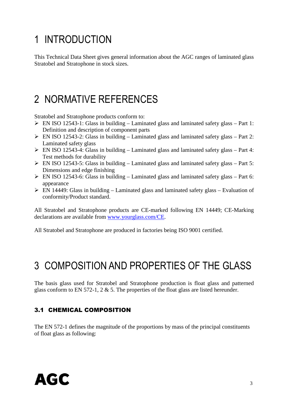# 1 INTRODUCTION

This Technical Data Sheet gives general information about the AGC ranges of laminated glass Stratobel and Stratophone in stock sizes.

# 2 NORMATIVE REFERENCES

Stratobel and Stratophone products conform to:

- EN ISO 12543-1: Glass in building Laminated glass and laminated safety glass Part 1: Definition and description of component parts
- $\triangleright$  EN ISO 12543-2: Glass in building Laminated glass and laminated safety glass Part 2: Laminated safety glass
- $\triangleright$  EN ISO 12543-4: Glass in building Laminated glass and laminated safety glass Part 4: Test methods for durability
- $\triangleright$  EN ISO 12543-5: Glass in building Laminated glass and laminated safety glass Part 5: Dimensions and edge finishing
- $\triangleright$  EN ISO 12543-6: Glass in building Laminated glass and laminated safety glass Part 6: appearance
- $\triangleright$  EN 14449: Glass in building Laminated glass and laminated safety glass Evaluation of conformity/Product standard.

All Stratobel and Stratophone products are CE-marked following EN 14449; CE-Marking declarations are available from www.yourglass.com/CE.

All Stratobel and Stratophone are produced in factories being ISO 9001 certified.

# 3 COMPOSITION AND PROPERTIES OF THE GLASS

The basis glass used for Stratobel and Stratophone production is float glass and patterned glass conform to EN 572-1,  $2 \& 5$ . The properties of the float glass are listed hereunder.

### 3.1 CHEMICAL COMPOSITION

The EN 572-1 defines the magnitude of the proportions by mass of the principal constituents of float glass as following:

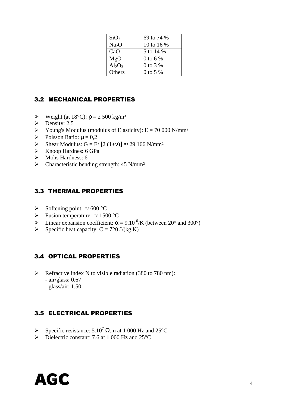| SiO <sub>2</sub>  | 69 to 74 % |
|-------------------|------------|
| Na <sub>2</sub> O | 10 to 16 % |
| CaO               | 5 to 14 %  |
| MgO               | 0 to 6 %   |
| $Al_2O_3$         | 0 to 3 %   |
| Others            | 0 to 5 %   |

#### 3.2 MECHANICAL PROPERTIES

- $\triangleright$  Weight (at 18°C):  $\rho = 2500 \text{ kg/m}^3$
- $\triangleright$  Density: 2,5
- Young's Modulus (modulus of Elasticity):  $E = 70000 \text{ N/mm}^2$
- Poisson Ratio:  $\mu = 0.2$
- Shear Modulus: G = E/ [2 (1+v)]  $\approx 29$  166 N/mm<sup>2</sup>
- Knoop Hardnes: 6 GPa
- $\triangleright$  Mohs Hardness: 6
- $\triangleright$  Characteristic bending strength: 45 N/mm<sup>2</sup>

#### 3.3 THERMAL PROPERTIES

- Softening point:  $\approx 600 \degree C$
- $\triangleright$  Fusion temperature: ≈ 1500 °C
- $\triangleright$  Linear expansion coefficient:  $\alpha = 9.10^{-6}$ /K (between 20° and 300°)
- $\triangleright$  Specific heat capacity: C = 720 J/(kg.K)

#### 3.4 OPTICAL PROPERTIES

- $\triangleright$  Refractive index N to visible radiation (380 to 780 nm): - air/glass: 0.67
	- glass/air: 1.50

### 3.5 ELECTRICAL PROPERTIES

- Specific resistance:  $5.10^7 \Omega$ .m at 1 000 Hz and 25°C
- $\triangleright$  Dielectric constant: 7.6 at 1 000 Hz and 25 °C

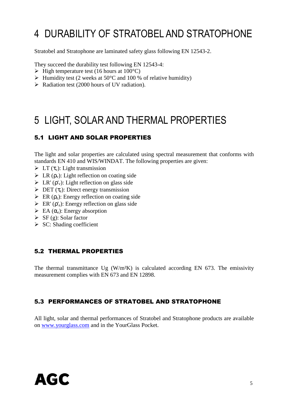# 4 DURABILITY OF STRATOBEL AND STRATOPHONE

Stratobel and Stratophone are laminated safety glass following EN 12543-2.

They succeed the durability test following EN 12543-4:

- $\triangleright$  High temperature test (16 hours at 100 °C)
- $\triangleright$  Humidity test (2 weeks at 50°C and 100 % of relative humidity)
- $\triangleright$  Radiation test (2000 hours of UV radiation).

# 5 LIGHT, SOLAR AND THERMAL PROPERTIES

# 5.1 LIGHT AND SOLAR PROPERTIES

The light and solar properties are calculated using spectral measurement that conforms with standards EN 410 and WIS/WINDAT. The following properties are given:

- $\sum \Gamma(\tau_{v})$ : Light transmission
- $\triangleright$  LR ( $\rho_v$ ): Light reflection on coating side
- $\triangleright$  LR' ( $\rho_v$ ): Light reflection on glass side
- $\triangleright$  DET ( $\tau_e$ ): Direct energy transmission
- $\triangleright$  ER ( $\rho_e$ ): Energy reflection on coating side
- $\triangleright$  ER' ( $\rho_e'$ ): Energy reflection on glass side
- $\triangleright$  EA ( $\alpha_e$ ): Energy absorption
- $\triangleright$  SF (g): Solar factor
- $\triangleright$  SC: Shading coefficient

#### 5.2 THERMAL PROPERTIES

The thermal transmittance Ug  $(W/m^2K)$  is calculated according EN 673. The emissivity measurement complies with EN 673 and EN 12898.

### 5.3 PERFORMANCES OF STRATOBEL AND STRATOPHONE

All light, solar and thermal performances of Stratobel and Stratophone products are available on www.yourglass.com and in the YourGlass Pocket.

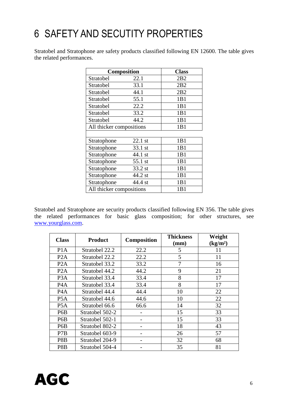# 6 SAFETY AND SECUTITY PROPERTIES

Stratobel and Stratophone are safety products classified following EN 12600. The table gives the related performances.

| <b>Composition</b>       | <b>Class</b> |                 |
|--------------------------|--------------|-----------------|
| Stratobel                | 22.1         | 2B <sub>2</sub> |
| Stratobel                | 33.1         | 2B2             |
| Stratobel                | 44.1         | 2B2             |
| Stratobel                | 55.1         | 1B1             |
| Stratobel                | 22.2         | 1B1             |
| Stratobel                | 33.2         | 1B1             |
| Stratobel                | 44.2         | 1B1             |
| All thicker compositions | 1B1          |                 |
|                          |              |                 |
| Stratophone              | $22.1$ st    | 1B1             |
| Stratophone              | 33.1 st      | 1B1             |
| Stratophone              | 44.1 st      | 1B1             |
| Stratophone              | 55.1 st      | 1B1             |
| Stratophone              | 33.2 st      | 1B1             |
| Stratophone<br>44.2 st   |              | 1B1             |
| Stratophone<br>44.4 st   |              | 1B1             |
| All thicker compositions | 1B1          |                 |

Stratobel and Stratophone are security products classified following EN 356. The table gives the related performances for basic glass composition; for other structures, see www.yourglass.com.

| <b>Class</b>     | <b>Product</b>  | <b>Composition</b> | <b>Thickness</b><br>$(\mathbf{mm})$ | Weight<br>(kg/m <sup>2</sup> ) |
|------------------|-----------------|--------------------|-------------------------------------|--------------------------------|
| P <sub>1</sub> A | Stratobel 22.2  | 22.2               | 5                                   | 11                             |
| P2A              | Stratobel 22.2  | 22.2               | 5                                   | 11                             |
| P <sub>2</sub> A | Stratobel 33.2  | 33.2               | 7                                   | 16                             |
| P2A              | Stratobel 44.2  | 44.2               | 9                                   | 21                             |
| P <sub>3</sub> A | Stratobel 33.4  | 33.4               | 8                                   | 17                             |
| P <sub>4</sub> A | Stratobel 33.4  | 33.4               | 8                                   | 17                             |
| P <sub>4</sub> A | Stratobel 44.4  | 44.4               | 10                                  | 22                             |
| P <sub>5</sub> A | Stratobel 44.6  | 44.6               | 10                                  | 22                             |
| P <sub>5</sub> A | Stratobel 66.6  | 66.6               | 14                                  | 32                             |
| P <sub>6</sub> B | Stratobel 502-2 |                    | 15                                  | 33                             |
| P <sub>6</sub> B | Stratobel 502-1 |                    | 15                                  | 33                             |
| P <sub>6</sub> B | Stratobel 802-2 |                    | 18                                  | 43                             |
| P7B              | Stratobel 603-9 |                    | 26                                  | 57                             |
| P8B              | Stratobel 204-9 |                    | 32                                  | 68                             |
| P8B              | Stratobel 504-4 |                    | 35                                  | 81                             |

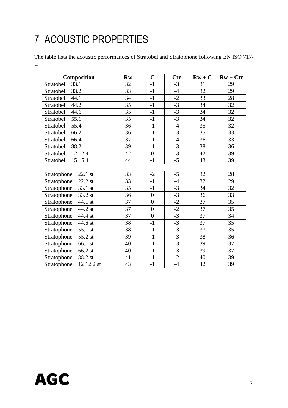# 7 ACOUSTIC PROPERTIES

The table lists the acoustic performances of Stratobel and Stratophone following EN ISO 717- 1.

| Composition               | <b>Rw</b>       | $\mathbf C$      | <b>Ctr</b> | $Rw + C$ | $Rw + Ctr$      |
|---------------------------|-----------------|------------------|------------|----------|-----------------|
| 33.1<br>Stratobel         | 32              | $-1$             | $-3$       | 31       | 29              |
| 33.2<br>Stratobel         | $\overline{33}$ | $-1$             | $-4$       | 32       | 29              |
| Stratobel<br>44.1         | 34              | $-1$             | $-2$       | 33       | 28              |
| Stratobel<br>44.2         | 35              | $-1$             | $-3$       | 34       | 32              |
| 44.6<br>Stratobel         | 35              | $-1$             | $-3$       | 34       | 32              |
| Stratobel<br>55.1         | 35              | $-1$             | $-3$       | 34       | 32              |
| Stratobel<br>55.4         | 36              | $-1$             | $-4$       | 35       | 32              |
| 66.2<br>Stratobel         | $\overline{36}$ | $-1$             | $-3$       | 35       | $\overline{33}$ |
| 66.4<br>Stratobel         | 37              | $-1$             | $-4$       | 36       | 33              |
| Stratobel<br>88.2         | 39              | $-1$             | $-3$       | 38       | 36              |
| 12 12.4<br>Stratobel      | 42              | $\overline{0}$   | $-3$       | 42       | 39              |
| Stratobel<br>15 15.4      | 44              | $-1$             | $-5$       | 43       | 39              |
|                           |                 |                  |            |          |                 |
| 22.1 st<br>Stratophone    | 33              | $-2$             | $-5$       | 32       | 28              |
| 22.2 st<br>Stratophone    | 33              | $-1$             | $-4$       | 32       | 29              |
| Stratophone<br>33.1 st    | 35              | $-1$             | $-3$       | 34       | 32              |
| 33.2 st<br>Stratophone    | 36              | $\overline{0}$   | $-3$       | 36       | 33              |
| 44.1 st<br>Stratophone    | 37              | $\boldsymbol{0}$ | $-2$       | 37       | 35              |
| Stratophone<br>44.2 st    | 37              | $\overline{0}$   | $-2$       | 37       | 35              |
| Stratophone<br>44.4 st    | 37              | $\boldsymbol{0}$ | $-3$       | 37       | 34              |
| Stratophone<br>44.6 st    | 38              | $-1$             | $-3$       | 37       | 35              |
| Stratophone<br>55.1 st    | 38              | $-1$             | $-3$       | 37       | 35              |
| 55.2 st<br>Stratophone    | 39              | $-1$             | $-3$       | 38       | 36              |
| Stratophone<br>66.1 st    | 40              | $-1$             | $-3$       | 39       | 37              |
| Stratophone<br>66.2 st    | 40              | $-1$             | $-3$       | 39       | 37              |
| 88.2 st<br>Stratophone    | 41              | $-1$             | $-2$       | 40       | 39              |
| 12 12.2 st<br>Stratophone | 43              | $-1$             | $-4$       | 42       | 39              |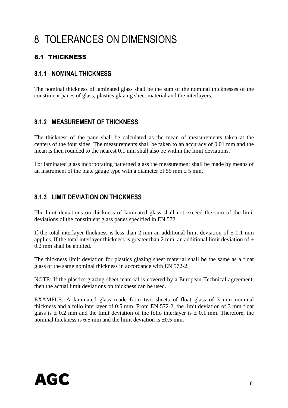# 8 TOLERANCES ON DIMENSIONS

# 8.1 THICKNESS

## **8.1.1 NOMINAL THICKNESS**

The nominal thickness of laminated glass shall be the sum of the nominal thicknesses of the constituent panes of glass, plastics glazing sheet material and the interlayers.

# **8.1.2 MEASUREMENT OF THICKNESS**

The thickness of the pane shall be calculated as the mean of measurements taken at the centers of the four sides. The measurements shall be taken to an accuracy of 0.01 mm and the mean is then rounded to the nearest 0.1 mm shall also be within the limit deviations.

For laminated glass incorporating patterned glass the measurement shall be made by means of an instrument of the plate gauge type with a diameter of 55 mm  $\pm$  5 mm.

# **8.1.3 LIMIT DEVIATION ON THICKNESS**

The limit deviations on thickness of laminated glass shall not exceed the sum of the limit deviations of the constituent glass panes specified in EN 572.

If the total interlayer thickness is less than 2 mm an additional limit deviation of  $\pm$  0.1 mm applies. If the total interlayer thickness is greater than 2 mm, an additional limit deviation of  $\pm$ 0.2 mm shall be applied.

The thickness limit deviation for plastics glazing sheet material shall be the same as a float glass of the same nominal thickness in accordance with EN 572-2.

NOTE: If the plastics glazing sheet material is covered by a European Technical agreement, then the actual limit deviations on thickness can be used.

EXAMPLE: A laminated glass made from two sheets of float glass of 3 mm nominal thickness and a folio interlayer of 0.5 mm. From EN 572-2, the limit deviation of 3 mm float glass is  $\pm$  0.2 mm and the limit deviation of the folio interlayer is  $\pm$  0.1 mm. Therefore, the nominal thickness is 6.5 mm and the limit deviation is  $\pm 0.5$  mm.

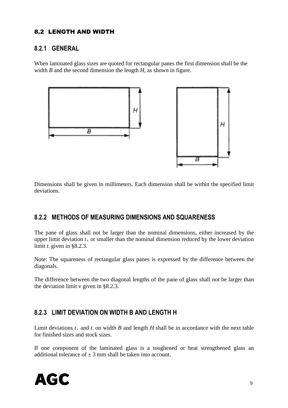## 8.2 LENGTH AND WIDTH

#### **8.2.1 GENERAL**

When laminated glass sizes are quoted for rectangular panes the first dimension shall be the width *B* and the second dimension the length *H,* as shown in figure.



Dimensions shall be given in millimeters. Each dimension shall be within the specified limit deviations.

### **8.2.2 METHODS OF MEASURING DIMENSIONS AND SQUARENESS**

The pane of glass shall not be larger than the nominal dimensions, either increased by the upper limit deviation  $t_{+}$  or smaller than the nominal dimension reduced by the lower deviation limit *t-* given in §8.2.3.

Note: The squareness of rectangular glass panes is expressed by the difference between the diagonals.

The difference between the two diagonal lengths of the pane of glass shall not be larger than the deviation limit v given in §8.2.3.

# **8.2.3 LIMIT DEVIATION ON WIDTH B AND LENGTH H**

Limit deviations  $t_{+}$  and  $t_{-}$  on width  $B$  and length  $H$  shall be in accordance with the next table for finished sizes and stock sizes.

If one component of the laminated glass is a toughened or heat strengthened glass an additional tolerance of  $\pm$  3 mm shall be taken into account.

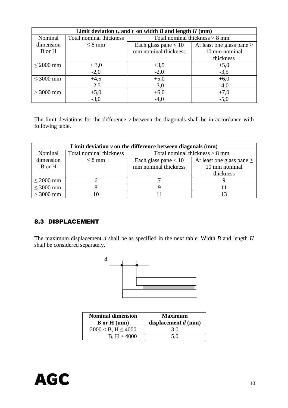| Limit deviation $t_+$ and $t_+$ on width $B$ and length $H$ (mm) |                         |                                  |                                |  |  |  |
|------------------------------------------------------------------|-------------------------|----------------------------------|--------------------------------|--|--|--|
| Nominal                                                          | Total nominal thickness | Total nominal thickness $> 8$ mm |                                |  |  |  |
| dimension                                                        | $\leq$ 8 mm             | Each glass pane $< 10$           | At least one glass pane $\geq$ |  |  |  |
| B or H                                                           |                         | mm nominal thickness             | 10 mm nominal                  |  |  |  |
|                                                                  |                         |                                  | thickness                      |  |  |  |
| $\leq$ 2000 mm                                                   | $+3,0$                  | $+3,5$                           | $+5,0$                         |  |  |  |
|                                                                  | $-2,0$                  | $-2,0$                           | $-3,5$                         |  |  |  |
| $\leq$ 3000 mm                                                   | $+4,5$                  | $+5,0$                           | $+6,0$                         |  |  |  |
|                                                                  | $-2,5$                  | $-3,0$                           | $-4,0$                         |  |  |  |
| $>$ 3000 mm                                                      | $+5,0$                  | $+6,0$                           | $+7,0$                         |  |  |  |
|                                                                  | $-3,0$                  | $-4,0$                           | $-5,0$                         |  |  |  |

The limit deviations for the difference *v* between the diagonals shall be in accordance with following table.

| Limit deviation $\nu$ on the difference between diagonals (mm) |                         |                                  |                                |  |  |  |  |
|----------------------------------------------------------------|-------------------------|----------------------------------|--------------------------------|--|--|--|--|
| Nominal                                                        | Total nominal thickness | Total nominal thickness $> 8$ mm |                                |  |  |  |  |
| dimension                                                      | $\leq$ 8 mm             | Each glass pane $< 10$           | At least one glass pane $\geq$ |  |  |  |  |
| B or H                                                         |                         | mm nominal thickness             | 10 mm nominal                  |  |  |  |  |
|                                                                |                         |                                  | thickness                      |  |  |  |  |
| $\leq$ 2000 mm                                                 |                         |                                  |                                |  |  |  |  |
| $\leq 3000$ mm                                                 |                         |                                  |                                |  |  |  |  |
| $>$ 3000 mm                                                    |                         |                                  |                                |  |  |  |  |

# 8.3 DISPLACEMENT

The maximum displacement *d* shall be as specified in the next table. Width *B* and length *H* shall be considered separately.



| <b>Nominal dimension</b><br>$\bf{B}$ or $\bf{H}$ (mm) | <b>Maximum</b><br>displacement $d$ (mm) |  |  |
|-------------------------------------------------------|-----------------------------------------|--|--|
| $2000 < B$ , H $\leq 4000$                            | 3.0                                     |  |  |
| B, H > 4000                                           | 5.0                                     |  |  |

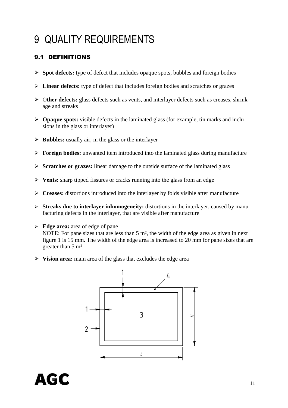# 9 QUALITY REQUIREMENTS

# 9.1 DEFINITIONS

- **Spot defects:** type of defect that includes opaque spots, bubbles and foreign bodies
- **Linear defects:** type of defect that includes foreign bodies and scratches or grazes
- O**ther defects:** glass defects such as vents, and interlayer defects such as creases, shrinkage and streaks
- **Opaque spots:** visible defects in the laminated glass (for example, tin marks and inclusions in the glass or interlayer)
- $\triangleright$  **Bubbles:** usually air, in the glass or the interlayer
- **Foreign bodies:** unwanted item introduced into the laminated glass during manufacture
- **Scratches or grazes:** linear damage to the outside surface of the laminated glass
- **Vents:** sharp tipped fissures or cracks running into the glass from an edge
- **Creases:** distortions introduced into the interlayer by folds visible after manufacture
- **Streaks due to interlayer inhomogeneity:** distortions in the interlayer, caused by manufacturing defects in the interlayer, that are visible after manufacture
- **Edge area:** area of edge of pane NOTE: For pane sizes that are less than 5 m², the width of the edge area as given in next figure 1 is 15 mm. The width of the edge area is increased to 20 mm for pane sizes that are greater than 5 m²
- **Vision area:** main area of the glass that excludes the edge area



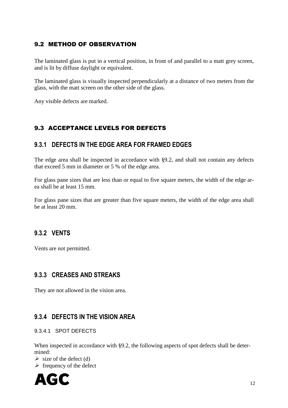# 9.2 METHOD OF OBSERVATION

The laminated glass is put in a vertical position, in front of and parallel to a matt grey screen, and is lit by diffuse daylight or equivalent.

The laminated glass is visually inspected perpendicularly at a distance of two meters from the glass, with the matt screen on the other side of the glass.

Any visible defects are marked.

### 9.3 ACCEPTANCE LEVELS FOR DEFECTS

### **9.3.1 DEFECTS IN THE EDGE AREA FOR FRAMED EDGES**

The edge area shall be inspected in accordance with §9.2, and shall not contain any defects that exceed 5 mm in diameter or 5 % of the edge area.

For glass pane sizes that are less than or equal to five square meters, the width of the edge area shall be at least 15 mm.

For glass pane sizes that are greater than five square meters, the width of the edge area shall be at least 20 mm.

### **9.3.2 VENTS**

Vents are not permitted.

### **9.3.3 CREASES AND STREAKS**

They are not allowed in the vision area.

### **9.3.4 DEFECTS IN THE VISION AREA**

#### 9.3.4.1 SPOT DEFECTS

When inspected in accordance with §9.2, the following aspects of spot defects shall be determined:

 $\triangleright$  size of the defect (d)

 $\triangleright$  frequency of the defect

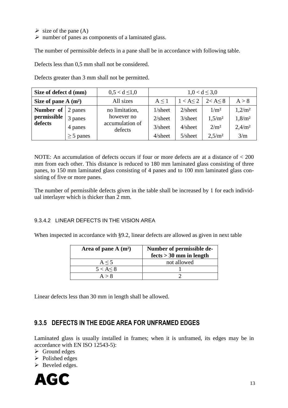- $\triangleright$  size of the pane (A)
- $\triangleright$  number of panes as components of a laminated glass.

The number of permissible defects in a pane shall be in accordance with following table.

Defects less than 0,5 mm shall not be considered.

Defects greater than 3 mm shall not be permitted.

| Size of defect d (mm) |                | $0.5 < d \leq 1.0$                       | $1,0 < d \leq 3,0$ |               |                    |                    |
|-----------------------|----------------|------------------------------------------|--------------------|---------------|--------------------|--------------------|
| Size of pane $A(m^2)$ |                | All sizes                                | $A \leq 1$         | $1 < A \le 2$ | 2 < A < 8          | A > 8              |
| Number of             | 2 panes        | no limitation,                           | $1/s$ heet         | $2/s$ heet    | 1/m <sup>2</sup>   | 1,2/m <sup>2</sup> |
| permissible           | 3 panes        | however no<br>accumulation of<br>defects | $2$ /sheet         | $3/s$ heet    | 1,5/m <sup>2</sup> | 1,8/m <sup>2</sup> |
| defects               | 4 panes        |                                          | $3/s$ heet         | $4$ /sheet    | 2/m <sup>2</sup>   | 2,4/m <sup>2</sup> |
|                       | $\geq$ 5 panes |                                          | $4$ /sheet         | $5/s$ heet    | 2,5/m <sup>2</sup> | 3/m                |

NOTE: An accumulation of defects occurs if four or more defects are at a distance of < 200 mm from each other. This distance is reduced to 180 mm laminated glass consisting of three panes, to 150 mm laminated glass consisting of 4 panes and to 100 mm laminated glass consisting of five or more panes.

The number of permissible defects given in the table shall be increased by 1 for each individual interlayer which is thicker than 2 mm.

#### 9.3.4.2 LINEAR DEFECTS IN THE VISION AREA

When inspected in accordance with §9.2, linear defects are allowed as given in next table

| Area of pane $A(m^2)$ | Number of permissible de- |  |
|-----------------------|---------------------------|--|
|                       | $fects > 30$ mm in length |  |
| $A \leq 5$            | not allowed               |  |
| $5 < A \leq 8$        |                           |  |
| A > 8                 |                           |  |

Linear defects less than 30 mm in length shall be allowed.

### **9.3.5 DEFECTS IN THE EDGE AREA FOR UNFRAMED EDGES**

Laminated glass is usually installed in frames; when it is unframed, its edges may be in accordance with EN ISO 12543-5):

- $\triangleright$  Ground edges
- $\triangleright$  Polished edges
- $\triangleright$  Beveled edges.